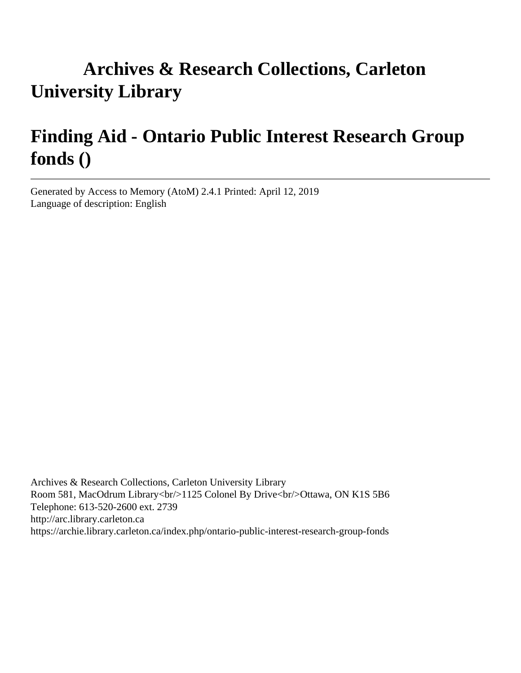# **Archives & Research Collections, Carleton University Library**

# **Finding Aid - Ontario Public Interest Research Group fonds ()**

Generated by Access to Memory (AtoM) 2.4.1 Printed: April 12, 2019 Language of description: English

Archives & Research Collections, Carleton University Library Room 581, MacOdrum Library<br/>shr>>1125 Colonel By Drive<br/>shr>Ottawa, ON K1S 5B6 Telephone: 613-520-2600 ext. 2739 http://arc.library.carleton.ca https://archie.library.carleton.ca/index.php/ontario-public-interest-research-group-fonds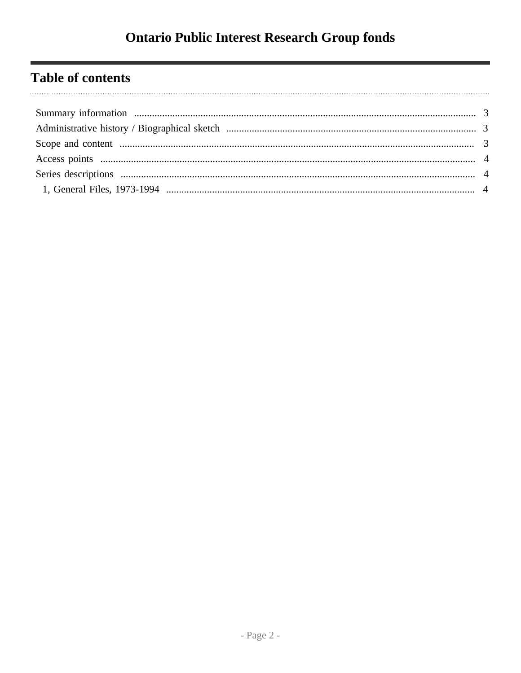## **Table of contents**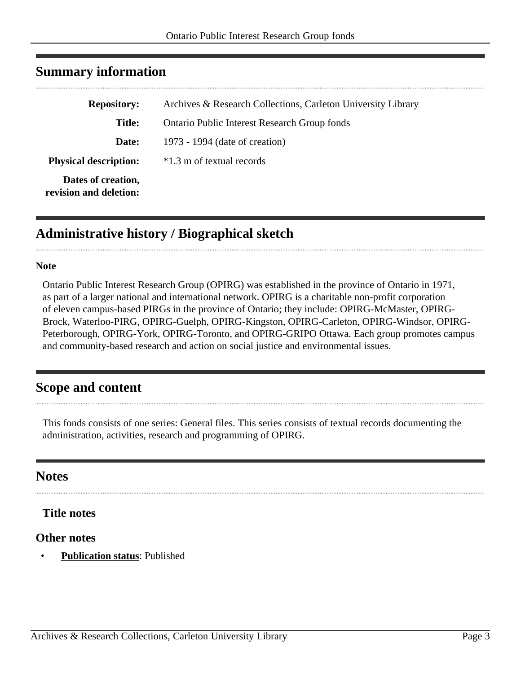| <b>Repository:</b>                           | Archives & Research Collections, Carleton University Library |
|----------------------------------------------|--------------------------------------------------------------|
| <b>Title:</b>                                | <b>Ontario Public Interest Research Group fonds</b>          |
| Date:                                        | 1973 - 1994 (date of creation)                               |
| <b>Physical description:</b>                 | $*1.3$ m of textual records                                  |
| Dates of creation,<br>revision and deletion: |                                                              |

### <span id="page-2-0"></span>**Summary information**

## <span id="page-2-1"></span>**Administrative history / Biographical sketch**

#### **Note**

Ontario Public Interest Research Group (OPIRG) was established in the province of Ontario in 1971, as part of a larger national and international network. OPIRG is a charitable non-profit corporation of eleven campus-based PIRGs in the province of Ontario; they include: OPIRG-McMaster, OPIRG-Brock, Waterloo-PIRG, OPIRG-Guelph, OPIRG-Kingston, OPIRG-Carleton, OPIRG-Windsor, OPIRG-Peterborough, OPIRG-York, OPIRG-Toronto, and OPIRG-GRIPO Ottawa. Each group promotes campus and community-based research and action on social justice and environmental issues.

## <span id="page-2-2"></span>**Scope and content**

This fonds consists of one series: General files. This series consists of textual records documenting the administration, activities, research and programming of OPIRG.

#### **Notes**

#### **Title notes**

#### **Other notes**

• **Publication status**: Published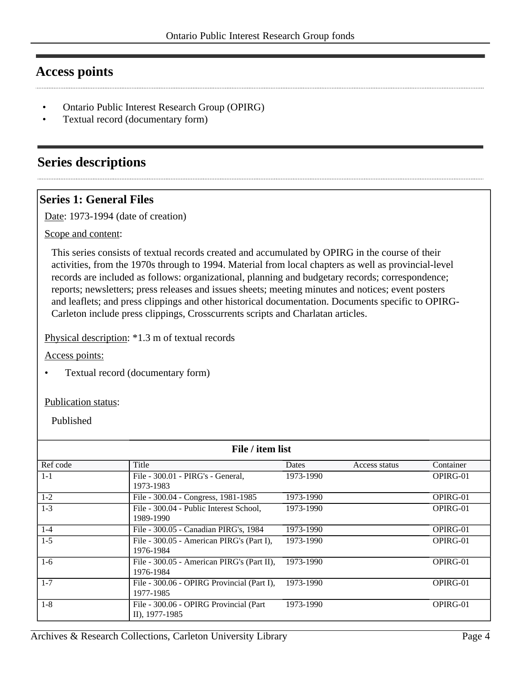### <span id="page-3-0"></span>**Access points**

- Ontario Public Interest Research Group (OPIRG)
- Textual record (documentary form)

## <span id="page-3-1"></span>**Series descriptions**

#### <span id="page-3-2"></span>**Series 1: General Files**

Date: 1973-1994 (date of creation)

Scope and content:

This series consists of textual records created and accumulated by OPIRG in the course of their activities, from the 1970s through to 1994. Material from local chapters as well as provincial-level records are included as follows: organizational, planning and budgetary records; correspondence; reports; newsletters; press releases and issues sheets; meeting minutes and notices; event posters and leaflets; and press clippings and other historical documentation. Documents specific to OPIRG-Carleton include press clippings, Crosscurrents scripts and Charlatan articles.

Physical description: \*1.3 m of textual records

Access points:

• Textual record (documentary form)

#### Publication status:

Published

| File / item list |                                                           |           |               |           |
|------------------|-----------------------------------------------------------|-----------|---------------|-----------|
| Ref code         | Title                                                     | Dates     | Access status | Container |
| $1 - 1$          | File - 300.01 - PIRG's - General,<br>1973-1983            | 1973-1990 |               | OPIRG-01  |
| $1-2$            | File - 300.04 - Congress, 1981-1985                       | 1973-1990 |               | OPIRG-01  |
| $1-3$            | File - 300.04 - Public Interest School,<br>1989-1990      | 1973-1990 |               | OPIRG-01  |
| $1 - 4$          | File - 300.05 - Canadian PIRG's, 1984                     | 1973-1990 |               | OPIRG-01  |
| $1 - 5$          | File - 300.05 - American PIRG's (Part I),<br>1976-1984    | 1973-1990 |               | OPIRG-01  |
| $1-6$            | File - 300.05 - American PIRG's (Part II),<br>1976-1984   | 1973-1990 |               | OPIRG-01  |
| $1 - 7$          | File - 300.06 - OPIRG Provincial (Part I),<br>1977-1985   | 1973-1990 |               | OPIRG-01  |
| $1 - 8$          | File - 300.06 - OPIRG Provincial (Part)<br>II), 1977-1985 | 1973-1990 |               | OPIRG-01  |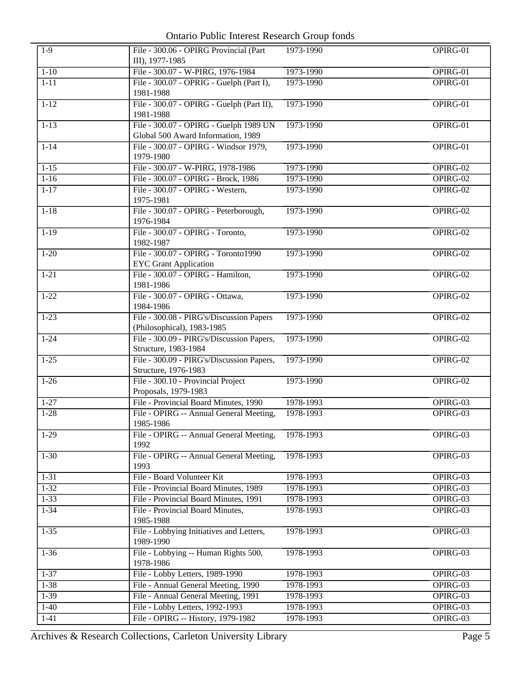Ontario Public Interest Research Group fonds

| $1-9$    | File - 300.06 - OPIRG Provincial (Part<br>III), 1977-1985     | 1973-1990              | OPIRG-01 |
|----------|---------------------------------------------------------------|------------------------|----------|
| $1 - 10$ | File - 300.07 - W-PIRG, 1976-1984                             | 1973-1990              | OPIRG-01 |
| $1 - 11$ | File - 300.07 - OPRIG - Guelph (Part I),                      | 1973-1990              | OPIRG-01 |
|          | 1981-1988                                                     |                        |          |
| $1 - 12$ | File - 300.07 - OPIRG - Guelph (Part II),                     | 1973-1990              | OPIRG-01 |
|          | 1981-1988                                                     |                        |          |
| $1-13$   | File - 300.07 - OPIRG - Guelph 1989 UN                        | 1973-1990              | OPIRG-01 |
|          | Global 500 Award Information, 1989                            |                        |          |
| $1 - 14$ | File - 300.07 - OPIRG - Windsor 1979,<br>1979-1980            | 1973-1990              | OPIRG-01 |
| $1 - 15$ | File - 300.07 - W-PIRG, 1978-1986                             | 1973-1990              | OPIRG-02 |
| $1 - 16$ | File - 300.07 - OPIRG - Brock, 1986                           | 1973-1990              | OPIRG-02 |
| $1 - 17$ | File - 300.07 - OPIRG - Western,                              | 1973-1990              | OPIRG-02 |
|          | 1975-1981                                                     |                        |          |
| $1-18$   | File - 300.07 - OPIRG - Peterborough,                         | 1973-1990              | OPIRG-02 |
|          | 1976-1984                                                     |                        |          |
| $1-19$   | File - 300.07 - OPIRG - Toronto,                              | 1973-1990              | OPIRG-02 |
|          | 1982-1987                                                     |                        |          |
| $1 - 20$ | File - 300.07 - OPIRG - Toronto1990                           | 1973-1990              | OPIRG-02 |
|          | <b>EYC Grant Application</b>                                  |                        |          |
| $1 - 21$ | File - 300.07 - OPIRG - Hamilton,                             | 1973-1990              | OPIRG-02 |
|          | 1981-1986                                                     |                        |          |
| $1 - 22$ | File - 300.07 - OPIRG - Ottawa,                               | 1973-1990              | OPIRG-02 |
|          | 1984-1986                                                     |                        |          |
| $1 - 23$ | File - 300.08 - PIRG's/Discussion Papers                      | 1973-1990              | OPIRG-02 |
|          | (Philosophical), 1983-1985                                    |                        |          |
| $1 - 24$ | File - 300.09 - PIRG's/Discussion Papers,                     | 1973-1990              | OPIRG-02 |
|          | Structure, 1983-1984                                          |                        |          |
| $1-25$   | File - 300.09 - PIRG's/Discussion Papers,                     | 1973-1990              | OPIRG-02 |
|          | Structure, 1976-1983                                          |                        |          |
| $1-26$   | File - 300.10 - Provincial Project                            | 1973-1990              | OPIRG-02 |
|          | Proposals, 1979-1983<br>File - Provincial Board Minutes, 1990 |                        |          |
| $1 - 27$ |                                                               | 1978-1993<br>1978-1993 | OPIRG-03 |
| $1 - 28$ | File - OPIRG -- Annual General Meeting,<br>1985-1986          |                        | OPIRG-03 |
| $1-29$   | File - OPIRG -- Annual General Meeting,                       | 1978-1993              | OPIRG-03 |
|          | 1992                                                          |                        |          |
| $1 - 30$ | File - OPIRG -- Annual General Meeting,                       | 1978-1993              | OPIRG-03 |
|          | 1993                                                          |                        |          |
| $1 - 31$ | File - Board Volunteer Kit                                    | 1978-1993              | OPIRG-03 |
| $1 - 32$ | File - Provincial Board Minutes, 1989                         | 1978-1993              | OPIRG-03 |
| $1 - 33$ | File - Provincial Board Minutes, 1991                         | 1978-1993              | OPIRG-03 |
| $1 - 34$ | File - Provincial Board Minutes,                              | 1978-1993              | OPIRG-03 |
|          | 1985-1988                                                     |                        |          |
| $1 - 35$ | File - Lobbying Initiatives and Letters,                      | 1978-1993              | OPIRG-03 |
|          | 1989-1990                                                     |                        |          |
| $1 - 36$ | File - Lobbying -- Human Rights 500,                          | 1978-1993              | OPIRG-03 |
|          | 1978-1986                                                     |                        |          |
| $1 - 37$ | File - Lobby Letters, 1989-1990                               | 1978-1993              | OPIRG-03 |
| $1 - 38$ | File - Annual General Meeting, 1990                           | 1978-1993              | OPIRG-03 |
| $1-39$   | File - Annual General Meeting, 1991                           | 1978-1993              | OPIRG-03 |
| $1-40$   | File - Lobby Letters, 1992-1993                               | 1978-1993              | OPIRG-03 |
| $1-41$   | File - OPIRG -- History, 1979-1982                            | 1978-1993              | OPIRG-03 |
|          |                                                               |                        |          |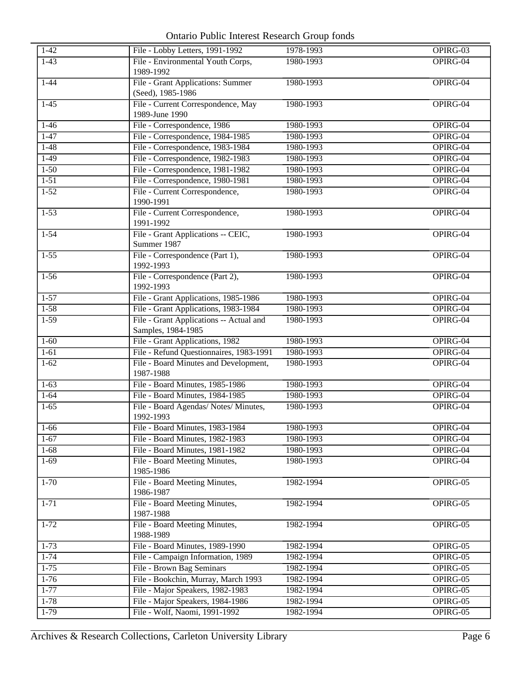Ontario Public Interest Research Group fonds

| $1-42$   | File - Lobby Letters, 1991-1992                               | 1978-1993 | OPIRG-03 |
|----------|---------------------------------------------------------------|-----------|----------|
| $1-43$   | File - Environmental Youth Corps,                             | 1980-1993 | OPIRG-04 |
|          | 1989-1992                                                     |           |          |
| $1 - 44$ | File - Grant Applications: Summer                             | 1980-1993 | OPIRG-04 |
|          | (Seed), 1985-1986                                             |           |          |
| $1-45$   | File - Current Correspondence, May                            | 1980-1993 | OPIRG-04 |
|          | 1989-June 1990                                                |           |          |
| $1-46$   | File - Correspondence, 1986                                   | 1980-1993 | OPIRG-04 |
| $1-47$   | File - Correspondence, 1984-1985                              | 1980-1993 | OPIRG-04 |
| $1-48$   | File - Correspondence, 1983-1984                              | 1980-1993 | OPIRG-04 |
| $1-49$   | File - Correspondence, 1982-1983                              | 1980-1993 | OPIRG-04 |
| $1 - 50$ | File - Correspondence, 1981-1982                              | 1980-1993 | OPIRG-04 |
| $1-51$   | File - Correspondence, 1980-1981                              | 1980-1993 | OPIRG-04 |
| $1-52$   | File - Current Correspondence,                                | 1980-1993 | OPIRG-04 |
|          | 1990-1991                                                     |           |          |
| $1 - 53$ | File - Current Correspondence,                                | 1980-1993 | OPIRG-04 |
|          | 1991-1992                                                     |           |          |
| $1 - 54$ | File - Grant Applications -- CEIC,                            | 1980-1993 | OPIRG-04 |
|          | Summer 1987                                                   |           |          |
| $1-55$   | File - Correspondence (Part 1),                               | 1980-1993 | OPIRG-04 |
|          | 1992-1993                                                     |           |          |
| $1-56$   | File - Correspondence (Part 2),                               | 1980-1993 | OPIRG-04 |
|          | 1992-1993                                                     |           |          |
| $1-57$   | File - Grant Applications, 1985-1986                          | 1980-1993 | OPIRG-04 |
| $1 - 58$ | File - Grant Applications, 1983-1984                          | 1980-1993 | OPIRG-04 |
| $1-59$   | File - Grant Applications -- Actual and<br>Samples, 1984-1985 | 1980-1993 | OPIRG-04 |
| $1 - 60$ | File - Grant Applications, 1982                               | 1980-1993 | OPIRG-04 |
| $1-61$   | File - Refund Questionnaires, 1983-1991                       | 1980-1993 | OPIRG-04 |
| $1-62$   | File - Board Minutes and Development,                         | 1980-1993 | OPIRG-04 |
|          | 1987-1988                                                     |           |          |
| $1-63$   | File - Board Minutes, 1985-1986                               | 1980-1993 | OPIRG-04 |
| $1 - 64$ | File - Board Minutes, 1984-1985                               | 1980-1993 | OPIRG-04 |
| $1-65$   | File - Board Agendas/ Notes/ Minutes,<br>1992-1993            | 1980-1993 | OPIRG-04 |
| $1-66$   | File - Board Minutes, 1983-1984                               | 1980-1993 | OPIRG-04 |
| $1-67$   | File - Board Minutes, 1982-1983                               | 1980-1993 | OPIRG-04 |
| $1-68$   | File - Board Minutes, 1981-1982                               | 1980-1993 | OPIRG-04 |
| $1-69$   | File - Board Meeting Minutes,                                 | 1980-1993 | OPIRG-04 |
|          | 1985-1986                                                     |           |          |
| $1 - 70$ | File - Board Meeting Minutes,                                 | 1982-1994 | OPIRG-05 |
|          | 1986-1987                                                     |           |          |
| $1 - 71$ | File - Board Meeting Minutes,                                 | 1982-1994 | OPIRG-05 |
|          | 1987-1988                                                     |           |          |
| $1 - 72$ | File - Board Meeting Minutes,                                 | 1982-1994 | OPIRG-05 |
|          | 1988-1989                                                     |           |          |
| $1 - 73$ | File - Board Minutes, 1989-1990                               | 1982-1994 | OPIRG-05 |
| $1 - 74$ | File - Campaign Information, 1989                             | 1982-1994 | OPIRG-05 |
| $1 - 75$ | File - Brown Bag Seminars                                     | 1982-1994 | OPIRG-05 |
| $1 - 76$ | File - Bookchin, Murray, March 1993                           | 1982-1994 | OPIRG-05 |
| $1 - 77$ | File - Major Speakers, 1982-1983                              | 1982-1994 | OPIRG-05 |
| $1 - 78$ | File - Major Speakers, 1984-1986                              | 1982-1994 | OPIRG-05 |
| $1-79$   | File - Wolf, Naomi, 1991-1992                                 | 1982-1994 | OPIRG-05 |
|          |                                                               |           |          |